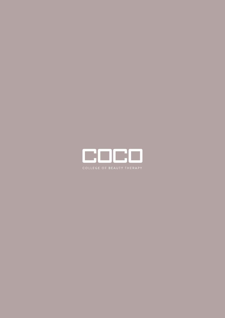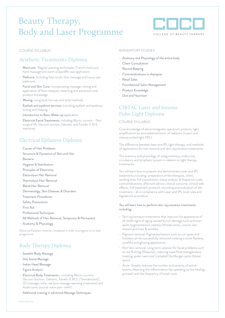# Beauty Therapy, Body and Laser Programme



COURSE SYLLABUS

# Aesthetic Treatments Diploma

- Manicure: Regular painting techniques, French manicure, hand massage and warm oil/paraffin wax application
- Pedicure: Including foot scrub, foot massage and luxury spa pedicures
- Facial and Skin Care: Incorporating massage, mixing and application of face masques, steaming and extraction and product knowledge
- Waxing: using both hot wax and strip methods
- Eyelash and eyebrow services: including eyelash and eyebrow tinting and shaping.
- Introduction to Basic Make-up application
- Electrical Facial Treatments: including Micro-current Non surgical lift, Vacuum suction, Galvanic and Faradic E.M.S. machines

# Electrical Epilation Diploma

- Causes of Hair Problems
- Structure & Dynamics of Skin and Hair
- **Bacteria**
- Hygiene & Sterilisation
- Principles of Electricity
- Electrolysis Hair Removal
- Thermolysis Hair Removal
- Blend Hair Removal
- Dermatology, Skin Diseases & Disorders
- Treatment Procedures
- Safety Precautions
- First Aid
- Professional Techniques
- All Methods of Hair Removal, Temporary & Permanent
- Anatomy & Physiology

Electrical Epilation must be completed in order to progress on to laser programme

# Body Therapy Diploma

- Swedish Body Massage
- Hot Stone Massage
- Indian Head Massage
- Figure Analysis
- Electrical Body Treatments including Micro-current, Vacuum Suction, Galvanic, Faradic E.M.S. ('Stendertone'), G5 massage, infra-red (pre massage warming treatment) and Audio sonic (sound-wave pain-relief)

Additional training in advanced Massage Techniques

# MANDATORY STUDIES

- Anatomy and Physiology of the entire body
- Client Consultation
- Record Keeping
- Contraindications to therapies
- Retail Sales
- Foundational Salon Management
- Product Knowledge
- Diet and Nutrition

# CIBTAC Laser and Intense Pulse Light Diploma

# COURSE SYLLABUS

Core knowledge of electromagnetic spectrum; protons; light amplification by stimulated emission of radiation (Laser) and intense pulsed light (IPL).

The difference between laser and IPL light therapy, and methods of applications for hair removal and skin rejuvenation treatments.

The anatomy and physiology of integumentary, endocrine, circulatory and lymphatic system in relation to light therapy treatments.

You will learn how to prepare and demonstrate Laser and IPL treatments including: preparation of the therapist, client, working area, full consultation, tissue analysis & fitzpatrick scale, contraindications, aftercare advice, clinical outcome, clinical side effects, full treatment protocol, recording and evaluation of the treatment - all in compliance with Laser and IPL local rules and legislations procedure.

### You will learn how to perform skin rejuvenation treatments including:

- Skin rejuvenation treatments that improve the appearance of all visible signs of aging caused by sun damage such as brown spots (pigmentation), redness (thread veins), uneven skin texture and lines & wrinkles
- Pigment removal: Pigmented lesions such as sun spots and freckles can be successfully removed creating a more flawless, youthful and glowing appearance
- Red Vein removal: Long term solution for facial problems such as red flushing (Rosacea), reducing superficial telangiectasia, treating spider naevi and Campbell De Morgan spots (blood spots)
- Acne: Greatly reduces the number and severity of active lesions, lessening the inflammation (by speeding up the healing process) and the frequency of break-outs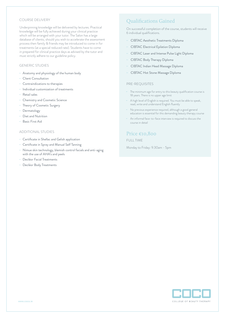## COURSE DELIVERY

Underpinning knowledge will be delivered by lectures. Practical knowledge will be fully achieved during your clinical practice which will be arranged with your tutor. The Salon has a large database of clients; should you wish to accelerate the assessment process then family & friends may be introduced to come in for treatments (at a special reduced rate). Students have to come in prepared for clinical practice days as advised by the tutor and must strictly adhere to our guideline policy.

### GENERIC STUDIES

- Anatomy and physiology of the human body
- Client Consultation
- Contraindications to therapies
- Individual customization of treatments
- Retail sales
- Chemistry and Cosmetic Science
- Theory of Cosmetic Surgery
- Dermatology
- Diet and Nutrition
- Basic First Aid

# ADDITIONAL STUDIES

- Certificate in Shellac and Gelish application
- Certificate in Spray and Manual Self Tanning
- Nimue skin technology, blemish control facials and anti-aging with the use of AHA's and peels
- Decléor Facial Treatments
- Decléor Body Treatments

# Qualifications Gained

On successful completion of the course, students will receive 6 individual qualifications.

- CIBTAC Aesthetic Treatments Diploma
- CIBTAC Electrical Epilation Diploma
- CIBTAC Laser and Intense Pulse Light Diploma
- CIBTAC Body Therapy Diploma
- CIBTAC Indian Head Massage Diploma
- CIBTAC Hot Stone Massage Diploma

# PRE-REQUISITES

- The minimum age for entry to this beauty qualification course is 18 years. There is no upper age limit
- A high level of English is required. You must be able to speak, read, write and understand English fluently
- No previous experience required, although a good general education is essential for this demanding beauty therapy course
- An informal face-to-face interview is required to discuss the course in detail

# Price €10,800

# FULL TIME

Monday to Friday: 9.30am - 5pm

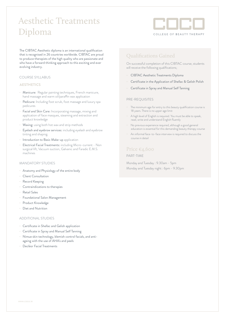# Aesthetic Treatments Diploma



The CIBTAC Aesthetic diploma is an international qualification that is recognised in 26 countries worldwide. CIBTAC are proud to produce therapists of the high quality who are passionate and who have a forward thinking approach to this exciting and ever evolving industry.

# COURSE SYLLABUS

# **AESTHETICS**

- Manicure: Regular painting techniques, French manicure, hand massage and warm oil/paraffin wax application
- Pedicure: Including foot scrub, foot massage and luxury spa pedicures
- Facial and Skin Care: Incorporating massage, mixing and application of face masques, steaming and extraction and product knowledge
- Waxing: using both hot wax and strip methods
- Eyelash and eyebrow services: including eyelash and eyebrow tinting and shaping.
- Introduction to Basic Make-up application
- Electrical Facial Treatments: including Micro-current Non surgical lift, Vacuum suction, Galvanic and Faradic E.M.S. machines

# MANDATORY STUDIES

- Anatomy and Physiology of the entire body
- Client Consultation
- Record Keeping
- Contraindications to therapies
- Retail Sales
- Foundational Salon Management
- Product Knowledge
- Diet and Nutrition

#### ADDITIONAL STUDIES

- Certificate in Shellac and Gelish application
- Certificate in Spray and Manual Self Tanning
- Nimue skin technology, blemish control facials, and antiageing with the use of AHA's and peels
- Decléor Facial Treatments

# Qualifications Gained

On successful completion of this CIBTAC course, students will receive the following qualifications;

- CIBTAC Aesthetic Treatments Diploma
- Certificate in the Application of Shellac & Gelish Polish
- Certificate in Spray and Manual Self Tanning

## PRE-REQUISITES

- The minimum age for entry to this beauty qualification course is 18 years. There is no upper age limit
- A high level of English is required. You must be able to speak, read, write and understand English fluently
- No previous experience required, although a good general education is essential for this demanding beauty therapy course
- An informal face-to-face interview is required to discuss the course in detail

# Price €4,600

# PART-TIME

 Monday and Tuesday : 9.30am - 5pm Monday and Tuesday night : 6pm - 9.30pm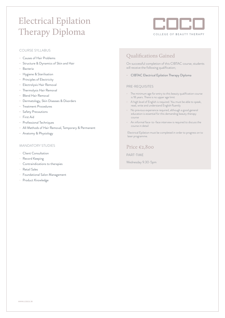# Electrical Epilation Therapy Diploma



# COURSE SYLLABUS

- Causes of Hair Problems
- Structure & Dynamics of Skin and Hair
- Bacteria
- Hygiene & Sterilisation
- Principles of Electricity
- Electrolysis Hair Removal
- Thermolysis Hair Removal
- Blend Hair Removal
- Dermatology, Skin Diseases & Disorders
- Treatment Procedures
- Safety Precautions
- First Aid
- Professional Techniques
- All Methods of Hair Removal, Temporary & Permanent
- Anatomy & Physiology

## MANDATORY STUDIES

- Client Consultation
- Record Keeping
- Contraindications to therapies
- Retail Sales
- Foundational Salon Management
- Product Knowledge

# Qualifications Gained

On successful completion of this CIBTAC course, students will receive the following qualification;

- CIBTAC Electrical Epilation Therapy Diploma

#### PRE-REQUISITES

- The minimum age for entry to this beauty qualification course is 18 years. There is no upper age limit
- A high level of English is required. You must be able to speak, read, write and understand English fluently
- No previous experience required, although a good general education is essential for this demanding beauty therapy course
- An informal face-to-face interview is required to discuss the course in detail

Electrical Epilation must be completed in order to progress on to laser programme.

Price €2,800

PART-TIME

Wednesday 9.30-5pm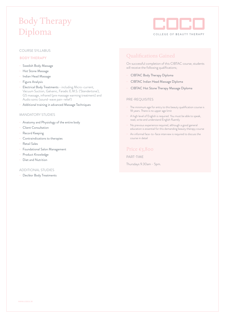# Body Therapy Diploma



## COURSE SYLLABUS

# **BODY THERAPY**

- Swedish Body Massage
- Hot Stone Massage
- Indian Head Massage
- Figure Analysis
- Electrical Body Treatments including Micro-current, Vacuum Suction, Galvanic, Faradic E.M.S. ('Stendertone'), G5 massage, infrared (pre massage warming treatment) and Audio sonic (sound-wave pain-relief)
- Additional training in advanced Massage Techniques

### MANDATORY STUDIES

- Anatomy and Physiology of the entire body
- Client Consultation
- Record Keeping
- Contraindications to therapies
- Retail Sales
- Foundational Salon Management
- Product Knowledge
- Diet and Nutrition

# ADDITIONAL STUDIES

- Decléor Body Treatments

# Qualifications Gained

On successful completion of this CIBTAC course, students will receive the following qualifications;

- CIBTAC Body Therapy Diploma
- CIBTAC Indian Head Massage Diploma
- CIBTAC Hot Stone Therapy Massage Diploma

# PRE-REQUISITES

- The minimum age for entry to this beauty qualification course is 18 years. There is no upper age limit
- A high level of English is required. You must be able to speak, read, write and understand English fluently
- No previous experience required, although a good general education is essential for this demanding beauty therapy course
- An informal face-to-face interview is required to discuss the course in detail

# Price €3,800

# PART-TIME

Thursdays 9.30am - 5pm.